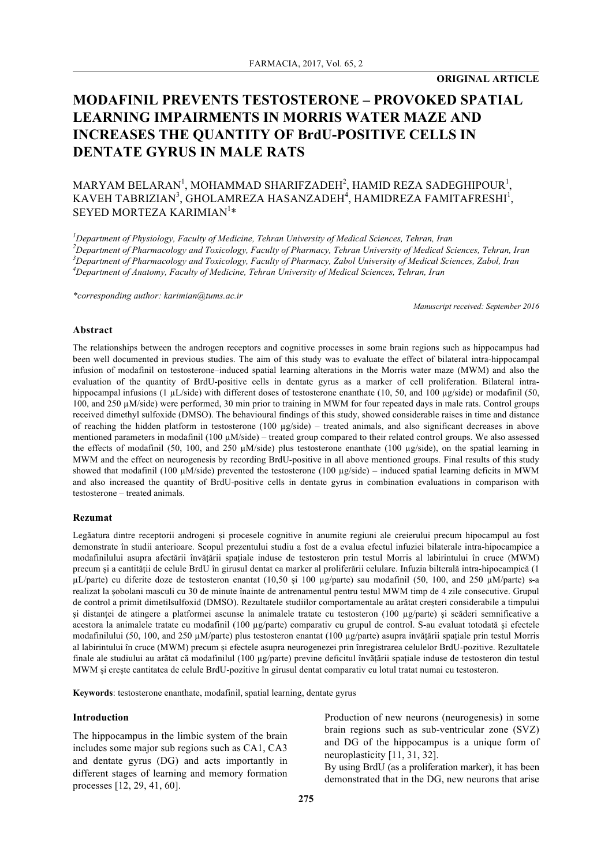# **MODAFINIL PREVENTS TESTOSTERONE – PROVOKED SPATIAL LEARNING IMPAIRMENTS IN MORRIS WATER MAZE AND INCREASES THE QUANTITY OF BrdU-POSITIVE CELLS IN DENTATE GYRUS IN MALE RATS**

## $\text{MARYAM BELARAN}^1$ , MOHAMMAD SHARIFZADEH $^2$ , HAMID REZA SADEGHIPOUR $^1$ , KAVEH TABRIZIAN<sup>3</sup>, GHOLAMREZA HASANZADEH<sup>4</sup>, HAMIDREZA FAMITAFRESHI<sup>1</sup>, SEYED MORTEZA KARIMIAN $^1\ast$

 *Department of Physiology, Faculty of Medicine, Tehran University of Medical Sciences, Tehran, Iran Department of Pharmacology and Toxicology, Faculty of Pharmacy, Tehran University of Medical Sciences, Tehran, Iran Department of Pharmacology and Toxicology, Faculty of Pharmacy, Zabol University of Medical Sciences, Zabol, Iran Department of Anatomy, Faculty of Medicine, Tehran University of Medical Sciences, Tehran, Iran*

*\*corresponding author: karimian@tums.ac.ir*

*Manuscript received: September 2016*

#### **Abstract**

The relationships between the androgen receptors and cognitive processes in some brain regions such as hippocampus had been well documented in previous studies. The aim of this study was to evaluate the effect of bilateral intra-hippocampal infusion of modafinil on testosterone–induced spatial learning alterations in the Morris water maze (MWM) and also the evaluation of the quantity of BrdU-positive cells in dentate gyrus as a marker of cell proliferation. Bilateral intrahippocampal infusions (1  $\mu$ L/side) with different doses of testosterone enanthate (10, 50, and 100  $\mu$ g/side) or modafinil (50, 100, and 250 µM/side) were performed, 30 min prior to training in MWM for four repeated days in male rats. Control groups received dimethyl sulfoxide (DMSO). The behavioural findings of this study, showed considerable raises in time and distance of reaching the hidden platform in testosterone (100 µg/side) – treated animals, and also significant decreases in above mentioned parameters in modafinil (100  $\mu$ M/side) – treated group compared to their related control groups. We also assessed the effects of modafinil (50, 100, and 250  $\mu$ M/side) plus testosterone enanthate (100  $\mu$ g/side), on the spatial learning in MWM and the effect on neurogenesis by recording BrdU-positive in all above mentioned groups. Final results of this study showed that modafinil (100  $\mu$ M/side) prevented the testosterone (100  $\mu$ g/side) – induced spatial learning deficits in MWM and also increased the quantity of BrdU-positive cells in dentate gyrus in combination evaluations in comparison with testosterone – treated animals.

#### **Rezumat**

Legăatura dintre receptorii androgeni și procesele cognitive în anumite regiuni ale creierului precum hipocampul au fost demonstrate în studii anterioare. Scopul prezentului studiu a fost de a evalua efectul infuziei bilaterale intra-hipocampice a modafinilului asupra afectării învățării spațiale induse de testosteron prin testul Morris al labirintului în cruce (MWM) precum și a cantității de celule BrdU în girusul dentat ca marker al proliferării celulare. Infuzia bilterală intra-hipocampică (1  $\mu$ L/parte) cu diferite doze de testosteron enantat (10,50 și 100  $\mu$ g/parte) sau modafinil (50, 100, and 250  $\mu$ M/parte) s-a realizat la șobolani masculi cu 30 de minute înainte de antrenamentul pentru testul MWM timp de 4 zile consecutive. Grupul de control a primit dimetilsulfoxid (DMSO). Rezultatele studiilor comportamentale au arătat creșteri considerabile a timpului și distanței de atingere a platformei ascunse la animalele tratate cu testosteron (100 µg/parte) și scăderi semnificative a acestora la animalele tratate cu modafinil (100 µg/parte) comparativ cu grupul de control. S-au evaluat totodată și efectele modafinilului (50, 100, and 250 µM/parte) plus testosteron enantat (100 µg/parte) asupra invățării spațiale prin testul Morris al labirintului în cruce (MWM) precum și efectele asupra neurogenezei prin înregistrarea celulelor BrdU-pozitive. Rezultatele finale ale studiului au arătat că modafinilul (100 µg/parte) previne deficitul învățării spațiale induse de testosteron din testul MWM și crește cantitatea de celule BrdU-pozitive în girusul dentat comparativ cu lotul tratat numai cu testosteron.

**Keywords**: testosterone enanthate, modafinil, spatial learning, dentate gyrus

#### **Introduction**

The hippocampus in the limbic system of the brain includes some major sub regions such as CA1, CA3 and dentate gyrus (DG) and acts importantly in different stages of learning and memory formation processes [12, 29, 41, 60].

Production of new neurons (neurogenesis) in some brain regions such as sub-ventricular zone (SVZ) and DG of the hippocampus is a unique form of neuroplasticity [11, 31, 32].

By using BrdU (as a proliferation marker), it has been demonstrated that in the DG, new neurons that arise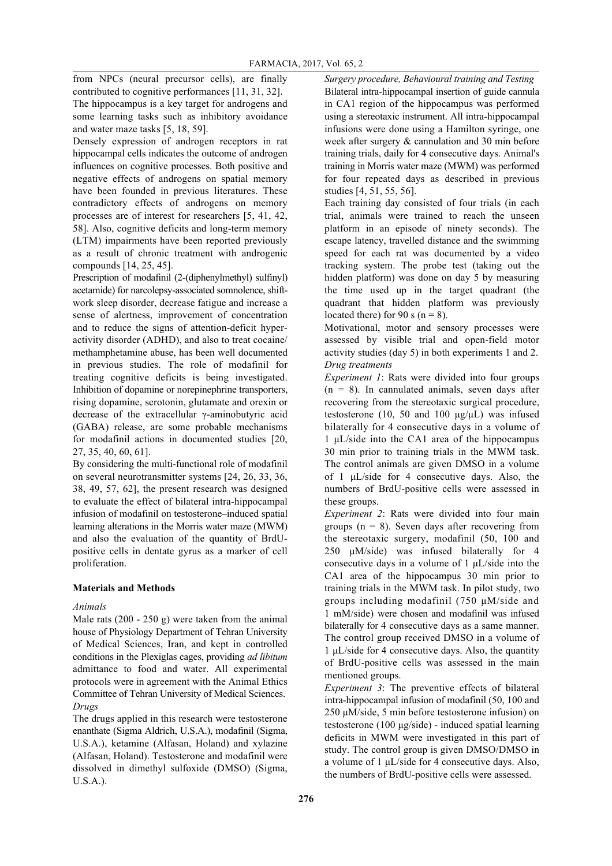from NPCs (neural precursor cells), are finally contributed to cognitive performances [11, 31, 32].

The hippocampus is a key target for androgens and some learning tasks such as inhibitory avoidance and water maze tasks [5, 18, 59].

Densely expression of androgen receptors in rat hippocampal cells indicates the outcome of androgen influences on cognitive processes. Both positive and negative effects of androgens on spatial memory have been founded in previous literatures. These contradictory effects of androgens on memory processes are of interest for researchers [5, 41, 42, 58]. Also, cognitive deficits and long-term memory (LTM) impairments have been reported previously as a result of chronic treatment with androgenic compounds [14, 25, 45].

Prescription of modafinil (2-(diphenylmethyl) sulfinyl) acetamide) for narcolepsy-associated somnolence, shiftwork sleep disorder, decrease fatigue and increase a sense of alertness, improvement of concentration and to reduce the signs of attention-deficit hyperactivity disorder (ADHD), and also to treat cocaine/ methamphetamine abuse, has been well documented in previous studies. The role of modafinil for treating cognitive deficits is being investigated. Inhibition of dopamine or norepinephrine transporters, rising dopamine, serotonin, glutamate and orexin or decrease of the extracellular γ-aminobutyric acid (GABA) release, are some probable mechanisms for modafinil actions in documented studies [20, 27, 35, 40, 60, 61].

By considering the multi-functional role of modafinil on several neurotransmitter systems [24, 26, 33, 36, 38, 49, 57, 62], the present research was designed to evaluate the effect of bilateral intra-hippocampal infusion of modafinil on testosterone*–*induced spatial learning alterations in the Morris water maze (MWM) and also the evaluation of the quantity of BrdUpositive cells in dentate gyrus as a marker of cell proliferation.

## **Materials and Methods**

## *Animals*

Male rats (200 - 250 g) were taken from the animal house of Physiology Department of Tehran University of Medical Sciences, Iran, and kept in controlled conditions in the Plexiglas cages, providing *ad libitum* admittance to food and water. All experimental protocols were in agreement with the Animal Ethics Committee of Tehran University of Medical Sciences. *Drugs*

The drugs applied in this research were testosterone enanthate (Sigma Aldrich, U.S.A.), modafinil (Sigma, U.S.A.), ketamine (Alfasan, Holand) and xylazine (Alfasan, Holand). Testosterone and modafinil were dissolved in dimethyl sulfoxide (DMSO) (Sigma, U.S.A.).

*Surgery procedure, Behavioural training and Testing* Bilateral intra-hippocampal insertion of guide cannula in CA1 region of the hippocampus was performed using a stereotaxic instrument. All intra-hippocampal infusions were done using a Hamilton syringe, one week after surgery & cannulation and 30 min before training trials, daily for 4 consecutive days. Animal's training in Morris water maze (MWM) was performed for four repeated days as described in previous studies [4, 51, 55, 56].

Each training day consisted of four trials (in each trial, animals were trained to reach the unseen platform in an episode of ninety seconds). The escape latency, travelled distance and the swimming speed for each rat was documented by a video tracking system. The probe test (taking out the hidden platform) was done on day 5 by measuring the time used up in the target quadrant (the quadrant that hidden platform was previously located there) for 90 s ( $n = 8$ ).

Motivational, motor and sensory processes were assessed by visible trial and open-field motor activity studies (day 5) in both experiments 1 and 2. *Drug treatments*

*Experiment 1*: Rats were divided into four groups  $(n = 8)$ . In cannulated animals, seven days after recovering from the stereotaxic surgical procedure, testosterone (10, 50 and 100  $\mu$ g/ $\mu$ L) was infused bilaterally for 4 consecutive days in a volume of 1 µL/side into the CA1 area of the hippocampus 30 min prior to training trials in the MWM task. The control animals are given DMSO in a volume of 1 µL/side for 4 consecutive days. Also, the numbers of BrdU-positive cells were assessed in these groups.

*Experiment 2*: Rats were divided into four main groups ( $n = 8$ ). Seven days after recovering from the stereotaxic surgery, modafinil (50, 100 and 250 µM/side) was infused bilaterally for 4 consecutive days in a volume of  $1 \mu L/s$ ide into the CA1 area of the hippocampus 30 min prior to training trials in the MWM task. In pilot study, two groups including modafinil (750 µM/side and 1 mM/side) were chosen and modafinil was infused bilaterally for 4 consecutive days as a same manner. The control group received DMSO in a volume of 1 µL/side for 4 consecutive days. Also, the quantity of BrdU-positive cells was assessed in the main mentioned groups.

*Experiment 3*: The preventive effects of bilateral intra-hippocampal infusion of modafinil (50, 100 and 250 µM/side, 5 min before testosterone infusion) on testosterone (100 µg/side) - induced spatial learning deficits in MWM were investigated in this part of study. The control group is given DMSO/DMSO in a volume of 1 µL/side for 4 consecutive days. Also, the numbers of BrdU-positive cells were assessed.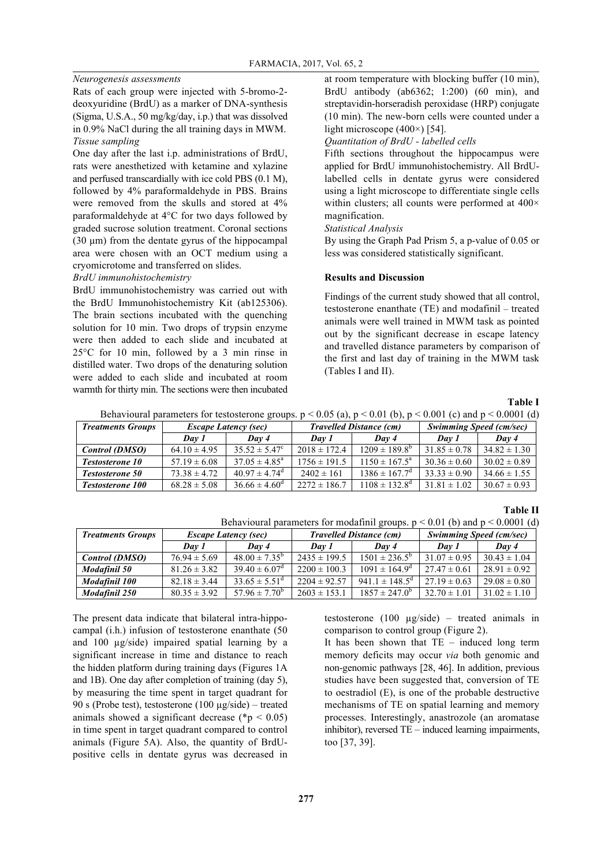## *Neurogenesis assessments*

Rats of each group were injected with 5-bromo-2 deoxyuridine (BrdU) as a marker of DNA-synthesis (Sigma, U.S.A., 50 mg/kg/day, i.p.) that was dissolved in 0.9% NaCl during the all training days in MWM. *Tissue sampling*

One day after the last i.p. administrations of BrdU, rats were anesthetized with ketamine and xylazine and perfused transcardially with ice cold PBS (0.1 M), followed by 4% paraformaldehyde in PBS. Brains were removed from the skulls and stored at 4% paraformaldehyde at 4°C for two days followed by graded sucrose solution treatment. Coronal sections (30 µm) from the dentate gyrus of the hippocampal area were chosen with an OCT medium using a cryomicrotome and transferred on slides.

## *BrdU immunohistochemistry*

BrdU immunohistochemistry was carried out with the BrdU Immunohistochemistry Kit (ab125306). The brain sections incubated with the quenching solution for 10 min. Two drops of trypsin enzyme were then added to each slide and incubated at 25°C for 10 min, followed by a 3 min rinse in distilled water. Two drops of the denaturing solution were added to each slide and incubated at room warmth for thirty min. The sections were then incubated at room temperature with blocking buffer (10 min), BrdU antibody (ab6362; 1:200) (60 min), and streptavidin-horseradish peroxidase (HRP) conjugate (10 min). The new-born cells were counted under a light microscope (400×) [54].

*Quantitation of BrdU - labelled cells*

Fifth sections throughout the hippocampus were applied for BrdU immunohistochemistry. All BrdUlabelled cells in dentate gyrus were considered using a light microscope to differentiate single cells within clusters; all counts were performed at 400× magnification.

*Statistical Analysis*

By using the Graph Pad Prism 5, a p-value of 0.05 or less was considered statistically significant.

## **Results and Discussion**

Findings of the current study showed that all control, testosterone enanthate (TE) and modafinil – treated animals were well trained in MWM task as pointed out by the significant decrease in escape latency and travelled distance parameters by comparison of the first and last day of training in the MWM task (Tables I and II).

## **Table I**

Behavioural parameters for testosterone groups.  $p < 0.05$  (a),  $p < 0.01$  (b),  $p < 0.001$  (c) and  $p < 0.0001$  (d)

| <b>Treatments Groups</b> | <b>Escape Latency (sec)</b> |                               | <b>Travelled Distance (cm)</b> |                          | <b>Swimming Speed (cm/sec)</b> |                  |
|--------------------------|-----------------------------|-------------------------------|--------------------------------|--------------------------|--------------------------------|------------------|
|                          | Dav 1                       | $\sqrt{Dav}$ 4                | Day 1                          | $\sqrt{Dav}$ 4           | Day 1                          | Day 4            |
| <b>Control (DMSO)</b>    | $64.10 \pm 4.95$            | $35.52 \pm 5.47^{\circ}$      | $2018 \pm 172.4$               | $1209 \pm 189.8^{\circ}$ | $31.85 \pm 0.78$               | $34.82 \pm 1.30$ |
| <b>Testosterone 10</b>   | $57.19 \pm 6.08$            | $37.05 \pm 4.85^{\circ}$      | $1756 \pm 191.5$               | $1150 \pm 167.5^{\circ}$ | $30.36 \pm 0.60$               | $30.02 \pm 0.89$ |
| <b>Testosterone 50</b>   | $73.38 \pm 4.72$            | $40.97 \pm 4.74$ <sup>d</sup> | $2402 \pm 161$                 | $1386 \pm 167.7^{\circ}$ | $33.33 \pm 0.90$               | $34.66 \pm 1.55$ |
| <b>Testosterone 100</b>  | $68.28 \pm 5.08$            | $36.66 \pm 4.60^{\circ}$      | $2272 \pm 186.7$               | $1108 \pm 132.8^{\circ}$ | $31.81 \pm 1.02$               | $30.67 \pm 0.93$ |

#### **Table II**

Behavioural parameters for modafinil groups.  $p < 0.01$  (b) and  $p < 0.0001$  (d)

| <b>Treatments Groups</b> | <b>Escape Latency (sec)</b> |                          | <b>Travelled Distance (cm)</b> |                                | <b>Swimming Speed (cm/sec)</b> |                  |
|--------------------------|-----------------------------|--------------------------|--------------------------------|--------------------------------|--------------------------------|------------------|
|                          | Dav 1                       | $\sqrt{D}$ av 4          | Day 1                          | Day 4                          | Day 1                          | Day 4            |
| <b>Control (DMSO)</b>    | $76.94 \pm 5.69$            | $48.00 \pm 7.35^{\circ}$ | $2435 \pm 199.5$               | $1501 \pm 236.5^{\circ}$       | $31.07 \pm 0.95$               | $30.43 \pm 1.04$ |
| Modafinil 50             | $81.26 \pm 3.82$            | $39.40 \pm 6.07^{\circ}$ | $2200 \pm 100.3$               | $1091 \pm 164.9^{\circ}$       | $27.47 \pm 0.61$               | $28.91 \pm 0.92$ |
| Modafinil 100            | $82.18 \pm 3.44$            | $33.65 \pm 5.51^{\circ}$ | $2204 \pm 92.57$               | 941.1 $\pm$ 148.5 <sup>d</sup> | $27.19 \pm 0.63$               | $29.08 \pm 0.80$ |
| Modafinil 250            | $80.35 \pm 3.92$            | $57.96 \pm 7.70^{\circ}$ | $2603 \pm 153.1$               | $1857 \pm 247.0^{\circ}$       | $32.70 \pm 1.01$               | $31.02 \pm 1.10$ |

The present data indicate that bilateral intra-hippocampal (i.h.) infusion of testosterone enanthate (50 and 100 µg/side) impaired spatial learning by a significant increase in time and distance to reach the hidden platform during training days (Figures 1A and 1B). One day after completion of training (day 5), by measuring the time spent in target quadrant for 90 s (Probe test), testosterone (100 µg/side) – treated animals showed a significant decrease ( $p < 0.05$ ) in time spent in target quadrant compared to control animals (Figure 5A). Also, the quantity of BrdUpositive cells in dentate gyrus was decreased in

testosterone (100 µg/side) – treated animals in comparison to control group (Figure 2).

It has been shown that TE – induced long term memory deficits may occur *via* both genomic and non-genomic pathways [28, 46]. In addition, previous studies have been suggested that, conversion of TE to oestradiol (E), is one of the probable destructive mechanisms of TE on spatial learning and memory processes. Interestingly, anastrozole (an aromatase inhibitor), reversed TE – induced learning impairments, too [37, 39].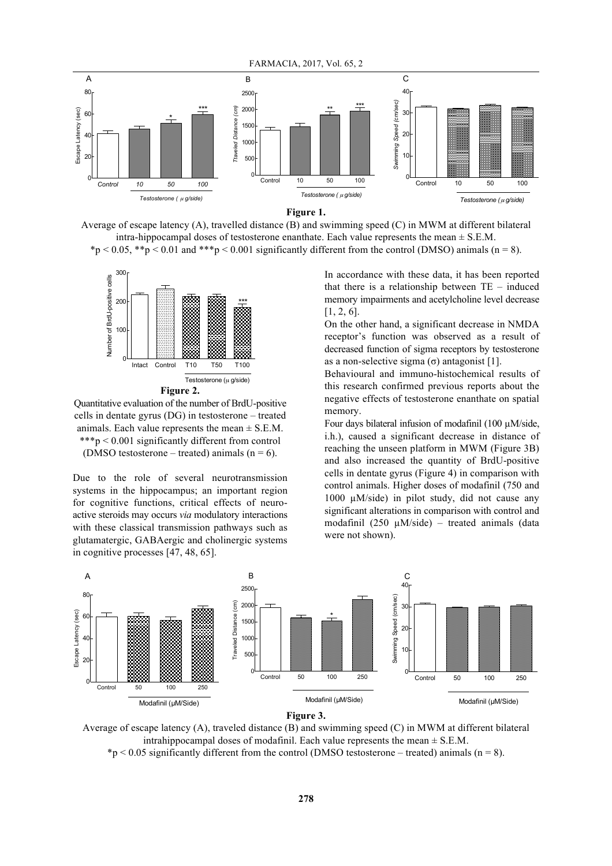

Average of escape latency  $(A)$ , travelled distance  $(B)$  and swimming speed  $(C)$  in MWM at different bilateral intra-hippocampal doses of testosterone enanthate. Each value represents the mean  $\pm$  S.E.M. \*p < 0.05, \*\*p < 0.01 and \*\*\*p < 0.001 significantly different from the control (DMSO) animals (n = 8).



Quantitative evaluation of the number of BrdU-positive 40 cells in dentate gyrus (DG) in testosterone - treated animals. Each value represents the mean  $\pm$  S.E.M.  $***p < 0.001$  significantly different from control (DMSO testosterone – treated) animals  $(n = 6)$ . *Swimming Speed (cm/sec)*

Due to the role of several neurotransmission systems in the hippocampus; an important region for cognitive functions, critical effects of neuroactive steroids may occurs *via* modulatory interactions with these classical transmission pathways such as glutamatergic, GABAergic and cholinergic systems in cognitive processes [47, 48, 65]. s<br>ta<br>. <u>..</u>

In accordance with these data, it has been reported that there is a relationship between  $TE$  – induced memory impairments and acetylcholine level decrease [1, 2, 6]. it<br>el<br>e

On the other hand, a significant decrease in NMDA<br>recenter's function was observed as a result of receptor's function was observed as a result of decreased function of sigma receptors by testosterone as a non-selective sigma  $(\sigma)$  antagonist [1].

> Behavioural and immuno-histochemical results of this research confirmed previous reports about the B negative effects of testosterone enanthate on spatial memory.

Four days bilateral infusion of modafinil (100 µM/side, i.h.), caused a significant decrease in distance of reaching the unseen platform in MWM (Figure 3B) and also increased the quantity of BrdU-positive cells in dentate gyrus (Figure 4) in comparison with control animals. Higher doses of modafinil (750 and 1000  $\mu$ M/side) in pilot study, did not cause any significant alterations in comparison with control and eractions<br>
modafinil  $(250 \mu M/side)$  – treated animals (data were not shown). er<br>1<br>ea<br>2



Average of escape latency (A), traveled distance (B) and swimming speed (C) in MWM at different bilateral intrahippocampal doses of modafinil. Each value represents the mean  $\pm$  S.E.M.

 $*p < 0.05$  significantly different from the control (DMSO testosterone – treated) animals (n = 8).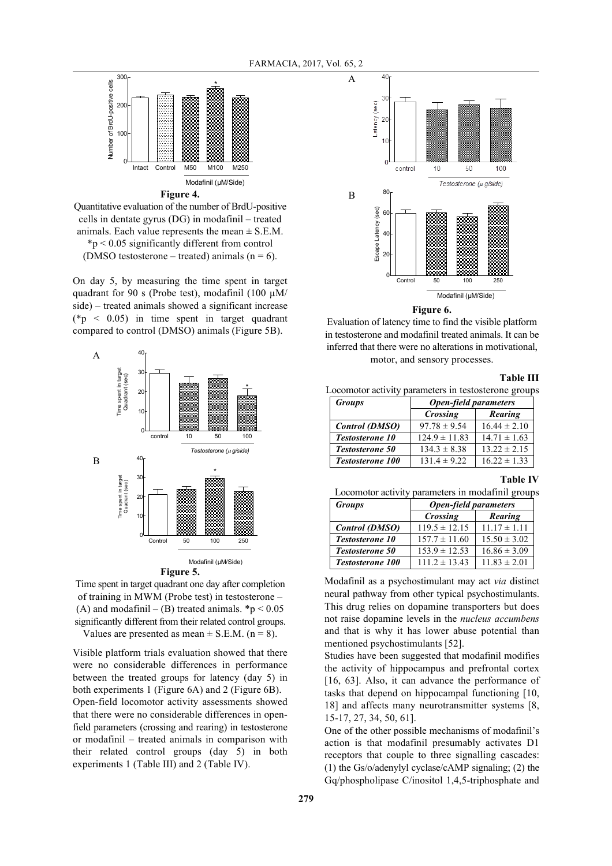FARMACIA, 2017, Vol. 65, 2



Quantitative evaluation of the number of BrdU-positive cells in dentate gyrus (DG) in modafinil – treated animals. Each value represents the mean  $\pm$  S.E.M. \*p < 0.05 significantly different from control (DMSO testosterone – treated) animals ( $n = 6$ ).

On day 5, by measuring the time spent in target quadrant for 90 s (Probe test), modafinil (100  $\mu$ M/ side) – treated animals showed a significant increase (\*p  $\leq$  0.05) in time spent in target quadrant compared to control (DMSO) animals (Figure 5B).



Time spent in target quadrant one day after completion of training in MWM (Probe test) in testosterone – (A) and modafinil – (B) treated animals.  $\mathbf{\hat{p}}$  < 0.05 significantly different from their related control groups. Values are presented as mean  $\pm$  S.E.M. (n = 8).

Visible platform trials evaluation showed that there were no considerable differences in performance between the treated groups for latency (day 5) in both experiments 1 (Figure 6A) and 2 (Figure 6B). Open-field locomotor activity assessments showed that there were no considerable differences in openfield parameters (crossing and rearing) in testosterone or modafinil – treated animals in comparison with their related control groups (day 5) in both experiments 1 (Table III) and 2 (Table IV).



**Figure 6.**

Evaluation of latency time to find the visible platform in testosterone and modafinil treated animals. It can be inferred that there were no alterations in motivational, motor, and sensory processes.

#### **Table III**

Locomotor activity parameters in testosterone groups

| $1110101,$ $01100101$ $010000000$                   |                              |                  |  |  |  |
|-----------------------------------------------------|------------------------------|------------------|--|--|--|
|                                                     |                              | <b>Table II</b>  |  |  |  |
| Locomotor activity parameters in testosterone group |                              |                  |  |  |  |
| <b>Groups</b>                                       | <b>Open-field parameters</b> |                  |  |  |  |
|                                                     | Crossing                     | Rearing          |  |  |  |
| Control (DMSO)                                      | $97.78 \pm 9.54$             | $16.44 \pm 2.10$ |  |  |  |
| <b>Testosterone 10</b>                              | $124.9 \pm 11.83$            | $14.71 \pm 1.63$ |  |  |  |
| <b>Testosterone 50</b>                              | $134.3 \pm 8.38$             | $13.22 \pm 2.15$ |  |  |  |
| <b>Testosterone 100</b>                             | $131.4 \pm 9.22$             | $16.22 \pm 1.33$ |  |  |  |

## **Table IV**

Locomotor activity parameters in modafinil groups

| <b>Groups</b>           | <b>Open-field parameters</b> |                  |  |
|-------------------------|------------------------------|------------------|--|
|                         | Crossing                     | Rearing          |  |
| <b>Control (DMSO)</b>   | $119.5 \pm 12.15$            | $11.17 \pm 1.11$ |  |
| <b>Testosterone 10</b>  | $157.7 \pm 11.60$            | $15.50 \pm 3.02$ |  |
| Testosterone 50         | $153.9 \pm 12.53$            | $16.86 \pm 3.09$ |  |
| <b>Testosterone 100</b> | $111.2 \pm 13.43$            | $11.83 \pm 2.01$ |  |

Modafinil as a psychostimulant may act *via* distinct 10 neural pathway from other typical psychostimulants. This drug relies on dopamine transporters but does not raise dopamine levels in the *nucleus accumbens* and that is why it has lower abuse potential than mentioned psychostimulants [52].

Studies have been suggested that modafinil modifies the activity of hippocampus and prefrontal cortex [16, 63]. Also, it can advance the performance of tasks that depend on hippocampal functioning [10, 18] and affects many neurotransmitter systems [8, 15-17, 27, 34, 50, 61].

One of the other possible mechanisms of modafinil's action is that modafinil presumably activates D1 receptors that couple to three signalling cascades: (1) the Gs/o/adenylyl cyclase/cAMP signaling; (2) the Gq/phospholipase C/inositol 1,4,5-triphosphate and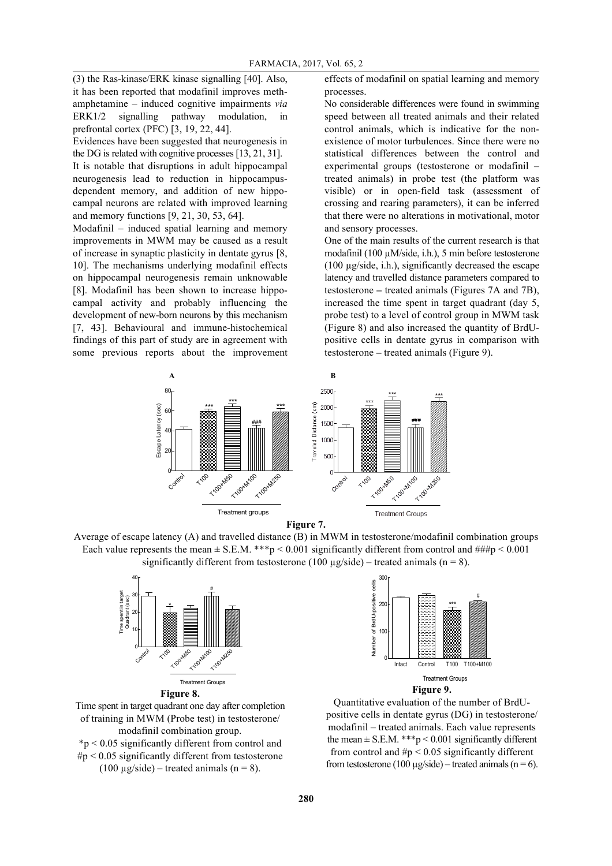(3) the Ras-kinase/ERK kinase signalling [40]. Also, it has been reported that modafinil improves methamphetamine – induced cognitive impairments *via* ERK1/2 signalling pathway modulation, in prefrontal cortex (PFC) [3, 19, 22, 44].

Evidences have been suggested that neurogenesis in the DG is related with cognitive processes [13, 21, 31].

It is notable that disruptions in adult hippocampal neurogenesis lead to reduction in hippocampusdependent memory, and addition of new hippocampal neurons are related with improved learning and memory functions [9, 21, 30, 53, 64].

Modafinil – induced spatial learning and memory improvements in MWM may be caused as a result of increase in synaptic plasticity in dentate gyrus [8, 10]. The mechanisms underlying modafinil effects on hippocampal neurogenesis remain unknowable [8]. Modafinil has been shown to increase hippocampal activity and probably influencing the development of new-born neurons by this mechanism [7, 43]. Behavioural and immune-histochemical findings of this part of study are in agreement with some previous reports about the improvement effects of modafinil on spatial learning and memory processes.

No considerable differences were found in swimming speed between all treated animals and their related control animals, which is indicative for the nonexistence of motor turbulences. Since there were no statistical differences between the control and experimental groups (testosterone or modafinil – treated animals) in probe test (the platform was visible) or in open-field task (assessment of crossing and rearing parameters), it can be inferred that there were no alterations in motivational, motor and sensory processes.

One of the main results of the current research is that modafinil (100 µM/side, i.h.), 5 min before testosterone (100 µg/side, i.h.), significantly decreased the escape latency and travelled distance parameters compared to testosterone **–** treated animals (Figures 7A and 7B), increased the time spent in target quadrant (day 5, probe test) to a level of control group in MWM task (Figure 8) and also increased the quantity of BrdUpositive cells in dentate gyrus in comparison with testosterone *–* treated animals (Figure 9).







**Figure 8.**

Time spent in target quadrant one day after completion of training in MWM (Probe test) in testosterone/ modafinil combination group.

\*p < 0.05 significantly different from control and  $\#p$  < 0.05 significantly different from testosterone (100  $\mu$ g/side) – treated animals (n = 8).





Quantitative evaluation of the number of BrdUpositive cells in dentate gyrus (DG) in testosterone/ modafinil – treated animals. Each value represents the mean  $\pm$  S.E.M. \*\*\*p < 0.001 significantly different from control and  $\#p \leq 0.05$  significantly different from testosterone (100  $\mu$ g/side) – treated animals (n = 6).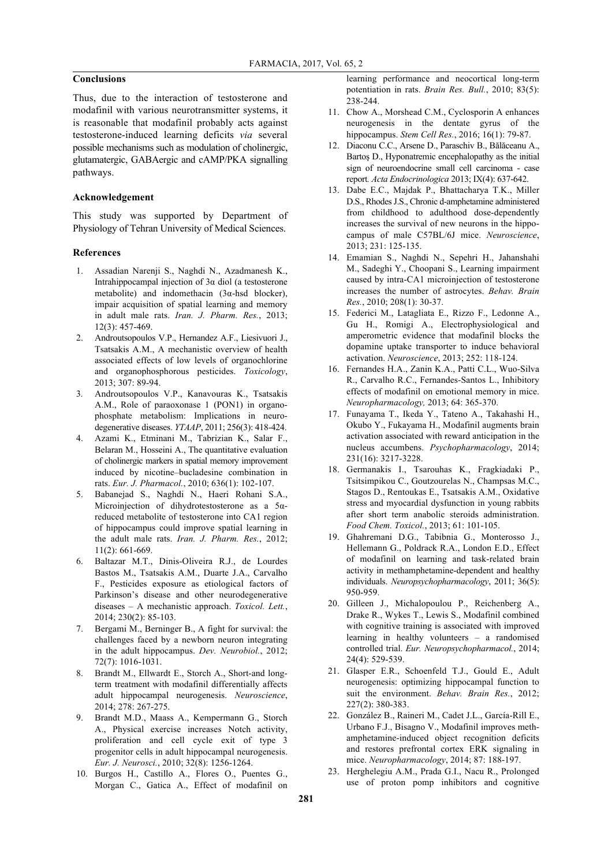## **Conclusions**

Thus, due to the interaction of testosterone and modafinil with various neurotransmitter systems, it is reasonable that modafinil probably acts against testosterone-induced learning deficits *via* several possible mechanisms such as modulation of cholinergic, glutamatergic, GABAergic and cAMP/PKA signalling pathways.

## **Acknowledgement**

This study was supported by Department of Physiology of Tehran University of Medical Sciences.

## **References**

- 1. Assadian Narenji S., Naghdi N., Azadmanesh K., Intrahippocampal injection of 3α diol (a testosterone metabolite) and indomethacin (3α-hsd blocker), impair acquisition of spatial learning and memory in adult male rats. *Iran. J. Pharm. Res.*, 2013; 12(3): 457-469.
- 2. Androutsopoulos V.P., Hernandez A.F., Liesivuori J., Tsatsakis A.M., A mechanistic overview of health associated effects of low levels of organochlorine and organophosphorous pesticides. *Toxicology*, 2013; 307: 89-94.
- 3. Androutsopoulos V.P., Kanavouras K., Tsatsakis A.M., Role of paraoxonase 1 (PON1) in organophosphate metabolism: Implications in neurodegenerative diseases. *YTAAP*, 2011; 256(3): 418-424.
- 4. Azami K., Etminani M., Tabrizian K., Salar F., Belaran M., Hosseini A., The quantitative evaluation of cholinergic markers in spatial memory improvement induced by nicotine–bucladesine combination in rats. *Eur. J. Pharmacol.*, 2010; 636(1): 102-107.
- 5. Babanejad S., Naghdi N., Haeri Rohani S.A., Microinjection of dihydrotestosterone as a 5αreduced metabolite of testosterone into CA1 region of hippocampus could improve spatial learning in the adult male rats. *Iran. J. Pharm. Res.*, 2012; 11(2): 661-669.
- 6. Baltazar M.T., Dinis-Oliveira R.J., de Lourdes Bastos M., Tsatsakis A.M., Duarte J.A., Carvalho F., Pesticides exposure as etiological factors of Parkinson's disease and other neurodegenerative diseases – A mechanistic approach. *Toxicol. Lett.*, 2014; 230(2): 85-103.
- 7. Bergami M., Berninger B., A fight for survival: the challenges faced by a newborn neuron integrating in the adult hippocampus. *Dev. Neurobiol.*, 2012; 72(7): 1016-1031.
- 8. Brandt M., Ellwardt E., Storch A., Short-and longterm treatment with modafinil differentially affects adult hippocampal neurogenesis. *Neuroscience*, 2014; 278: 267-275.
- 9. Brandt M.D., Maass A., Kempermann G., Storch A., Physical exercise increases Notch activity, proliferation and cell cycle exit of type 3 progenitor cells in adult hippocampal neurogenesis. *Eur. J. Neurosci.*, 2010; 32(8): 1256-1264.
- 10. Burgos H., Castillo A., Flores O., Puentes G., Morgan C., Gatica A., Effect of modafinil on

learning performance and neocortical long-term potentiation in rats. *Brain Res. Bull.*, 2010; 83(5): 238-244.

- 11. Chow A., Morshead C.M., Cyclosporin A enhances neurogenesis in the dentate gyrus of the hippocampus. *Stem Cell Res.*, 2016; 16(1): 79-87.
- 12. Diaconu C.C., Arsene D., Paraschiv B., Bălăceanu A., Bartoş D., Hyponatremic encephalopathy as the initial sign of neuroendocrine small cell carcinoma - case report*. Acta Endocrinologica* 2013; IX(4): 637-642.
- 13. Dabe E.C., Majdak P., Bhattacharya T.K., Miller D.S., Rhodes J.S., Chronic d-amphetamine administered from childhood to adulthood dose-dependently increases the survival of new neurons in the hippocampus of male C57BL/6J mice. *Neuroscience*, 2013; 231: 125-135.
- 14. Emamian S., Naghdi N., Sepehri H., Jahanshahi M., Sadeghi Y., Choopani S., Learning impairment caused by intra-CA1 microinjection of testosterone increases the number of astrocytes. *Behav. Brain Res.*, 2010; 208(1): 30-37.
- 15. Federici M., Latagliata E., Rizzo F., Ledonne A., Gu H., Romigi A., Electrophysiological and amperometric evidence that modafinil blocks the dopamine uptake transporter to induce behavioral activation. *Neuroscience*, 2013; 252: 118-124.
- 16. Fernandes H.A., Zanin K.A., Patti C.L., Wuo-Silva R., Carvalho R.C., Fernandes-Santos L., Inhibitory effects of modafinil on emotional memory in mice. *Neuropharmacology,* 2013; 64: 365-370.
- 17. Funayama T., Ikeda Y., Tateno A., Takahashi H., Okubo Y., Fukayama H., Modafinil augments brain activation associated with reward anticipation in the nucleus accumbens. *Psychopharmacology*, 2014; 231(16): 3217-3228.
- 18. Germanakis I., Tsarouhas K., Fragkiadaki P., Tsitsimpikou C., Goutzourelas N., Champsas M.C., Stagos D., Rentoukas E., Tsatsakis A.M., Oxidative stress and myocardial dysfunction in young rabbits after short term anabolic steroids administration. *Food Chem. Toxicol.*, 2013; 61: 101-105.
- 19. Ghahremani D.G., Tabibnia G., Monterosso J., Hellemann G., Poldrack R.A., London E.D., Effect of modafinil on learning and task-related brain activity in methamphetamine-dependent and healthy individuals. *Neuropsychopharmacology*, 2011; 36(5): 950-959.
- 20. Gilleen J., Michalopoulou P., Reichenberg A., Drake R., Wykes T., Lewis S., Modafinil combined with cognitive training is associated with improved learning in healthy volunteers – a randomised controlled trial. *Eur. Neuropsychopharmacol.*, 2014; 24(4): 529-539.
- 21. Glasper E.R., Schoenfeld T.J., Gould E., Adult neurogenesis: optimizing hippocampal function to suit the environment. *Behav. Brain Res.*, 2012; 227(2): 380-383.
- 22. González B., Raineri M., Cadet J.L., García-Rill E., Urbano F.J., Bisagno V., Modafinil improves methamphetamine-induced object recognition deficits and restores prefrontal cortex ERK signaling in mice. *Neuropharmacology*, 2014; 87: 188-197.
- 23. Herghelegiu A.M., Prada G.I., Nacu R., Prolonged use of proton pomp inhibitors and cognitive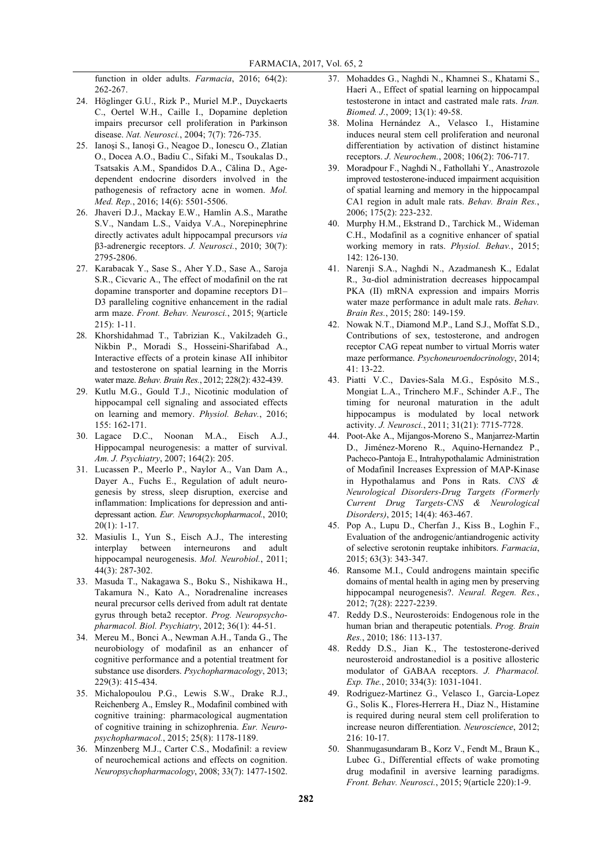function in older adults. *Farmacia*, 2016; 64(2): 262-267.

- 24. Höglinger G.U., Rizk P., Muriel M.P., Duyckaerts C., Oertel W.H., Caille I., Dopamine depletion impairs precursor cell proliferation in Parkinson disease. *Nat. Neurosci.*, 2004; 7(7): 726-735.
- 25. Ianoşi S., Ianoşi G., Neagoe D., Ionescu O., Zlatian O., Docea A.O., Badiu C., Sifaki M., Tsoukalas D., Tsatsakis A.M., Spandidos D.A., Călina D., Agedependent endocrine disorders involved in the pathogenesis of refractory acne in women. *Mol. Med. Rep.*, 2016; 14(6): 5501-5506.
- 26. Jhaveri D.J., Mackay E.W., Hamlin A.S., Marathe S.V., Nandam L.S., Vaidya V.A., Norepinephrine directly activates adult hippocampal precursors *via* β3-adrenergic receptors. *J. Neurosci.*, 2010; 30(7): 2795-2806.
- 27. Karabacak Y., Sase S., Aher Y.D., Sase A., Saroja S.R., Cicvaric A., The effect of modafinil on the rat dopamine transporter and dopamine receptors D1– D<sub>3</sub> paralleling cognitive enhancement in the radial arm maze. *Front. Behav. Neurosci.*, 2015; 9(article 215): 1-11.
- 28. Khorshidahmad T., Tabrizian K., Vakilzadeh G., Nikbin P., Moradi S., Hosseini-Sharifabad A., Interactive effects of a protein kinase AII inhibitor and testosterone on spatial learning in the Morris water maze. *Behav. Brain Res.*, 2012; 228(2): 432-439.
- 29. Kutlu M.G., Gould T.J., Nicotinic modulation of hippocampal cell signaling and associated effects on learning and memory. *Physiol. Behav.*, 2016; 155: 162-171.
- 30. Lagace D.C., Noonan M.A., Eisch A.J., Hippocampal neurogenesis: a matter of survival. *Am. J. Psychiatry*, 2007; 164(2): 205.
- 31. Lucassen P., Meerlo P., Naylor A., Van Dam A., Dayer A., Fuchs E., Regulation of adult neurogenesis by stress, sleep disruption, exercise and inflammation: Implications for depression and antidepressant action. *Eur. Neuropsychopharmacol.*, 2010; 20(1): 1-17.
- 32. Masiulis I., Yun S., Eisch A.J., The interesting interplay between interneurons and adult hippocampal neurogenesis. *Mol. Neurobiol.*, 2011; 44(3): 287-302.
- 33. Masuda T., Nakagawa S., Boku S., Nishikawa H., Takamura N., Kato A., Noradrenaline increases neural precursor cells derived from adult rat dentate gyrus through beta2 receptor. *Prog. Neuropsychopharmacol. Biol. Psychiatry*, 2012; 36(1): 44-51.
- 34. Mereu M., Bonci A., Newman A.H., Tanda G., The neurobiology of modafinil as an enhancer of cognitive performance and a potential treatment for substance use disorders. *Psychopharmacology*, 2013; 229(3): 415-434.
- 35. Michalopoulou P.G., Lewis S.W., Drake R.J., Reichenberg A., Emsley R., Modafinil combined with cognitive training: pharmacological augmentation of cognitive training in schizophrenia. *Eur. Neuropsychopharmacol.*, 2015; 25(8): 1178-1189.
- 36. Minzenberg M.J., Carter C.S., Modafinil: a review of neurochemical actions and effects on cognition. *Neuropsychopharmacology*, 2008; 33(7): 1477-1502.
- 37. Mohaddes G., Naghdi N., Khamnei S., Khatami S., Haeri A., Effect of spatial learning on hippocampal testosterone in intact and castrated male rats. *Iran. Biomed. J.*, 2009; 13(1): 49-58.
- 38. Molina Hernández A., Velasco I., Histamine induces neural stem cell proliferation and neuronal differentiation by activation of distinct histamine receptors. *J. Neurochem.*, 2008; 106(2): 706-717.
- 39. Moradpour F., Naghdi N., Fathollahi Y., Anastrozole improved testosterone-induced impairment acquisition of spatial learning and memory in the hippocampal CA1 region in adult male rats. *Behav. Brain Res.*, 2006; 175(2): 223-232.
- 40. Murphy H.M., Ekstrand D., Tarchick M., Wideman C.H., Modafinil as a cognitive enhancer of spatial working memory in rats. *Physiol. Behav.*, 2015; 142: 126-130.
- 41. Narenji S.A., Naghdi N., Azadmanesh K., Edalat R., 3α-diol administration decreases hippocampal PKA (II) mRNA expression and impairs Morris water maze performance in adult male rats. *Behav. Brain Res.*, 2015; 280: 149-159.
- 42. Nowak N.T., Diamond M.P., Land S.J., Moffat S.D., Contributions of sex, testosterone, and androgen receptor CAG repeat number to virtual Morris water maze performance. *Psychoneuroendocrinology*, 2014; 41: 13-22.
- 43. Piatti V.C., Davies-Sala M.G., Espósito M.S., Mongiat L.A., Trinchero M.F., Schinder A.F., The timing for neuronal maturation in the adult hippocampus is modulated by local network activity. *J. Neurosci.*, 2011; 31(21): 7715-7728.
- 44. Poot-Ake A., Mijangos-Moreno S., Manjarrez-Martin D., Jiménez-Moreno R., Aquino-Hernandez P., Pacheco-Pantoja E., Intrahypothalamic Administration of Modafinil Increases Expression of MAP-Kinase in Hypothalamus and Pons in Rats. *CNS & Neurological Disorders-Drug Targets (Formerly Current Drug Targets-CNS & Neurological Disorders)*, 2015; 14(4): 463-467.
- 45. Pop A., Lupu D., Cherfan J., Kiss B., Loghin F., Evaluation of the androgenic/antiandrogenic activity of selective serotonin reuptake inhibitors. *Farmacia*, 2015; 63(3): 343-347.
- 46. Ransome M.I., Could androgens maintain specific domains of mental health in aging men by preserving hippocampal neurogenesis?. *Neural. Regen. Res.*, 2012; 7(28): 2227-2239.
- 47. Reddy D.S., Neurosteroids: Endogenous role in the human brian and therapeutic potentials. *Prog. Brain Res.*, 2010; 186: 113-137.
- 48. Reddy D.S., Jian K., The testosterone-derived neurosteroid androstanediol is a positive allosteric modulator of GABAA receptors. *J. Pharmacol. Exp. The.*, 2010; 334(3): 1031-1041.
- 49. Rodriguez-Martinez G., Velasco I., Garcia-Lopez G., Solis K., Flores-Herrera H., Diaz N., Histamine is required during neural stem cell proliferation to increase neuron differentiation. *Neuroscience*, 2012; 216: 10-17.
- 50. Shanmugasundaram B., Korz V., Fendt M., Braun K., Lubec G., Differential effects of wake promoting drug modafinil in aversive learning paradigms. *Front. Behav. Neurosci.*, 2015; 9(article 220):1-9.